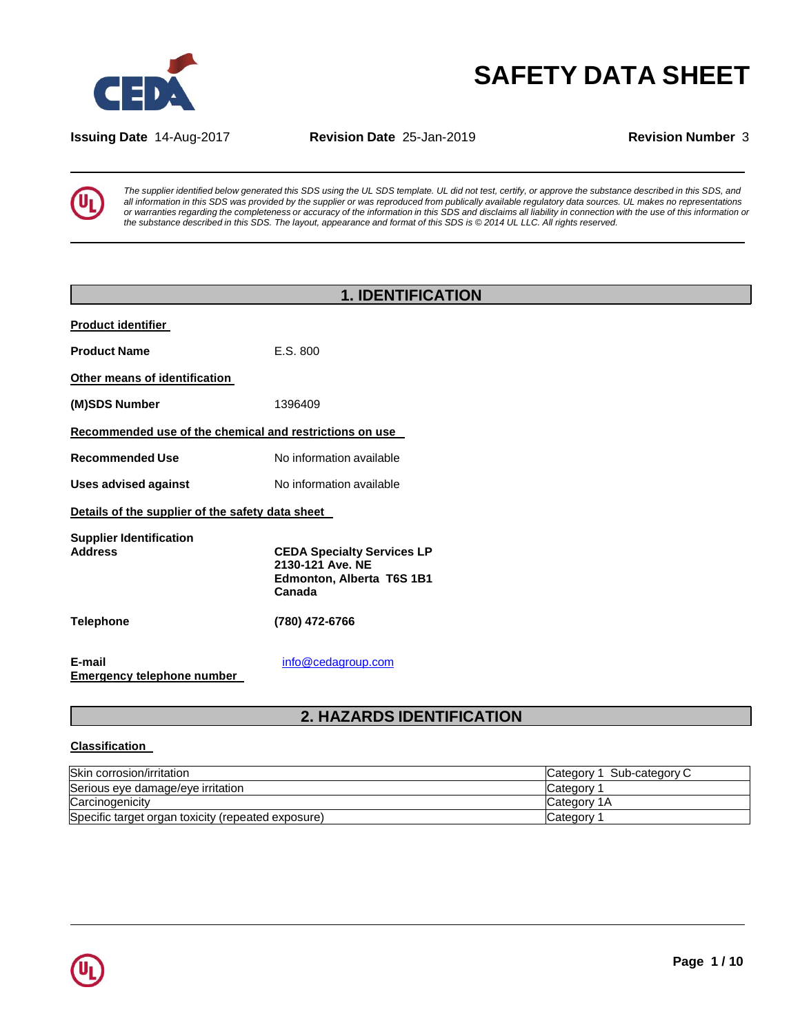

# **SAFETY DATA SHEET**

**Issuing Date** 14-Aug-2017 **Revision Date** 25-Jan-2019 **Revision Number** 3

The supplier identified below generated this SDS using the UL SDS template. UL did not test, certify, or approve the substance described in this SDS, and all information in this SDS was provided by the supplier or was reproduced from publically available regulatory data sources. UL makes no representations or warranties regarding the completeness or accuracy of the information in this SDS and disclaims all liability in connection with the use of this information or the substance described in this SDS. The layout, appearance and format of this SDS is @ 2014 UL LLC. All rights reserved.

|                                                         | <b>1. IDENTIFICATION</b>                                                                     |
|---------------------------------------------------------|----------------------------------------------------------------------------------------------|
| <b>Product identifier</b>                               |                                                                                              |
| <b>Product Name</b>                                     | E.S. 800                                                                                     |
| Other means of identification                           |                                                                                              |
| (M)SDS Number                                           | 1396409                                                                                      |
| Recommended use of the chemical and restrictions on use |                                                                                              |
| <b>Recommended Use</b>                                  | No information available                                                                     |
| <b>Uses advised against</b>                             | No information available                                                                     |
| Details of the supplier of the safety data sheet        |                                                                                              |
| <b>Supplier Identification</b><br><b>Address</b>        | <b>CEDA Specialty Services LP</b><br>2130-121 Ave. NE<br>Edmonton, Alberta T6S 1B1<br>Canada |
| <b>Telephone</b>                                        | (780) 472-6766                                                                               |
| E-mail<br><b>Emergency telephone number</b>             | info@cedagroup.com                                                                           |

## **2. HAZARDS IDENTIFICATION**

### **Classification**

| Skin corrosion/irritation                          | Sub-category C<br>Category 1 |
|----------------------------------------------------|------------------------------|
| Serious eve damage/eve irritation                  | Category <sup>*</sup>        |
| Carcinogenicity                                    | <b>Category 1A</b>           |
| Specific target organ toxicity (repeated exposure) | Category 1                   |

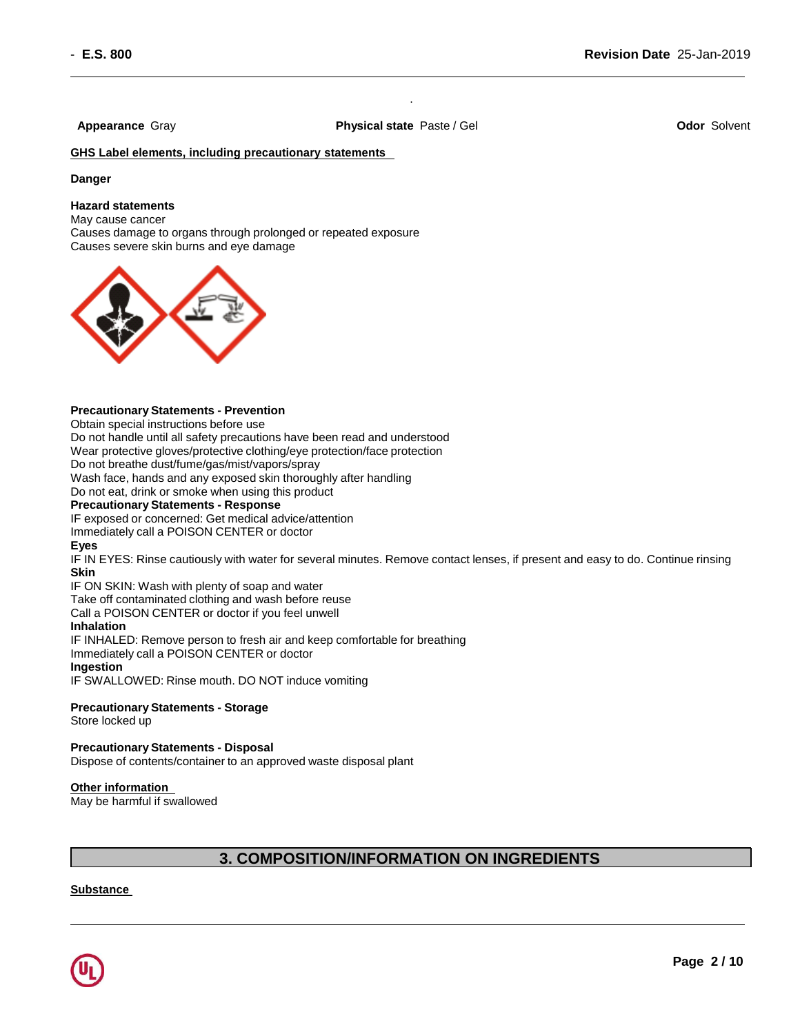**Appearance** Gray **Physical state** Paste / Gel **Odor** Solvent

.

**GHS Label elements, including precautionary statements** 

### **Danger**

### **Hazard statements**

May cause cancer Causes damage to organs through prolonged or repeated exposure Causes severe skin burns and eye damage



### **Precautionary Statements - Prevention**

Obtain special instructions before use

Do not handle until all safety precautions have been read and understood

Wear protective gloves/protective clothing/eye protection/face protection

Do not breathe dust/fume/gas/mist/vapors/spray

Wash face, hands and any exposed skin thoroughly after handling

Do not eat, drink or smoke when using this product

### **Precautionary Statements - Response**

IF exposed or concerned: Get medical advice/attention

Immediately call a POISON CENTER or doctor

### **Eyes**

IF IN EYES: Rinse cautiously with water for several minutes. Remove contact lenses, if present and easy to do. Continue rinsing **Skin**

IF ON SKIN: Wash with plenty of soap and water

Take off contaminated clothing and wash before reuse

Call a POISON CENTER or doctor if you feel unwell

### **Inhalation**

IF INHALED: Remove person to fresh air and keep comfortable for breathing

Immediately call a POISON CENTER or doctor

### **Ingestion**

IF SWALLOWED: Rinse mouth. DO NOT induce vomiting

### **Precautionary Statements - Storage**

Store locked up

### **Precautionary Statements - Disposal**

Dispose of contents/container to an approved waste disposal plant

### **Other information**

May be harmful if swallowed

## **3. COMPOSITION/INFORMATION ON INGREDIENTS**

### **Substance**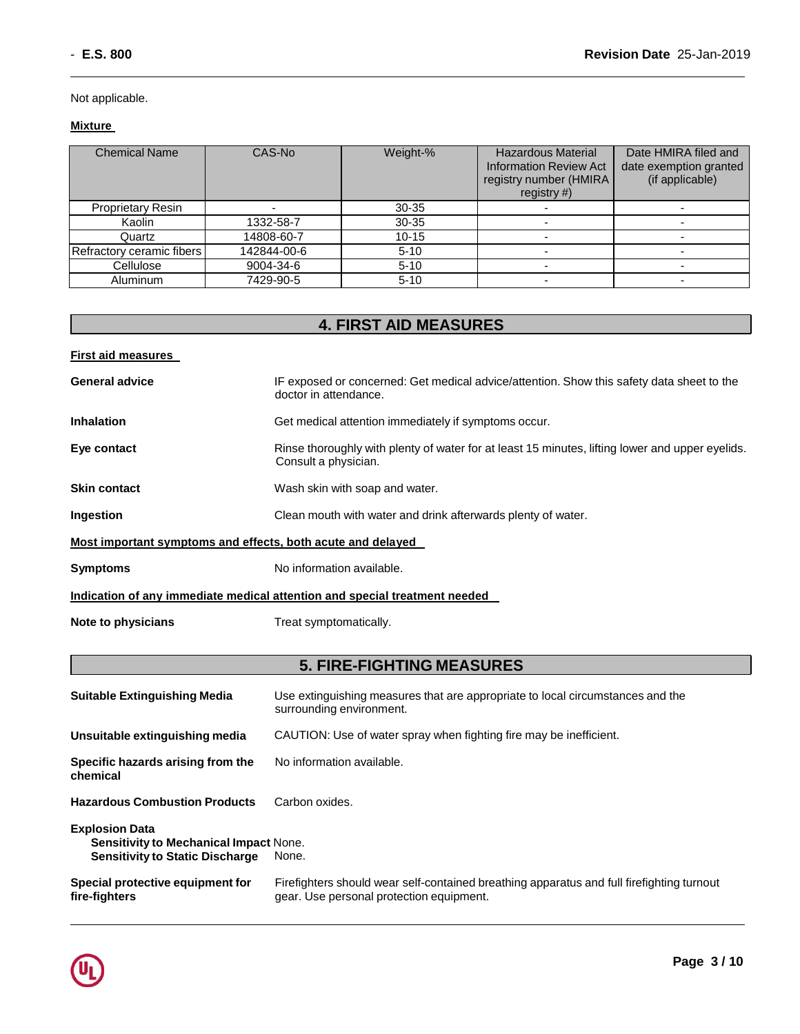Not applicable.

## **Mixture**

| <b>Chemical Name</b>      | CAS-No      | Weight-%  | <b>Hazardous Material</b><br><b>Information Review Act</b><br>registry number (HMIRA<br>registry $#$ ) | Date HMIRA filed and<br>date exemption granted<br>(if applicable) |
|---------------------------|-------------|-----------|--------------------------------------------------------------------------------------------------------|-------------------------------------------------------------------|
| <b>Proprietary Resin</b>  |             | $30 - 35$ |                                                                                                        |                                                                   |
| Kaolin                    | 1332-58-7   | $30 - 35$ |                                                                                                        |                                                                   |
| Quartz                    | 14808-60-7  | $10 - 15$ |                                                                                                        |                                                                   |
| Refractory ceramic fibers | 142844-00-6 | $5 - 10$  |                                                                                                        |                                                                   |
| Cellulose                 | 9004-34-6   | $5 - 10$  |                                                                                                        |                                                                   |
| <b>Aluminum</b>           | 7429-90-5   | $5 - 10$  | -                                                                                                      |                                                                   |

## **4. FIRST AID MEASURES**

| <b>First aid measures</b>                                   |                                                                                                                         |
|-------------------------------------------------------------|-------------------------------------------------------------------------------------------------------------------------|
| <b>General advice</b>                                       | IF exposed or concerned: Get medical advice/attention. Show this safety data sheet to the<br>doctor in attendance.      |
| <b>Inhalation</b>                                           | Get medical attention immediately if symptoms occur.                                                                    |
| Eye contact                                                 | Rinse thoroughly with plenty of water for at least 15 minutes, lifting lower and upper eyelids.<br>Consult a physician. |
| <b>Skin contact</b>                                         | Wash skin with soap and water.                                                                                          |
| Ingestion                                                   | Clean mouth with water and drink afterwards plenty of water.                                                            |
| Most important symptoms and effects, both acute and delayed |                                                                                                                         |
| <b>Symptoms</b>                                             | No information available.                                                                                               |
|                                                             | Indication of any immediate medical attention and special treatment needed                                              |
| Note to physicians                                          | Treat symptomatically.                                                                                                  |

## **5. FIRE-FIGHTING MEASURES**

| <b>Suitable Extinguishing Media</b>                                                                              | Use extinguishing measures that are appropriate to local circumstances and the<br>surrounding environment.                            |
|------------------------------------------------------------------------------------------------------------------|---------------------------------------------------------------------------------------------------------------------------------------|
| Unsuitable extinguishing media                                                                                   | CAUTION: Use of water spray when fighting fire may be inefficient.                                                                    |
| Specific hazards arising from the<br>chemical                                                                    | No information available.                                                                                                             |
| <b>Hazardous Combustion Products</b>                                                                             | Carbon oxides.                                                                                                                        |
| <b>Explosion Data</b><br><b>Sensitivity to Mechanical Impact None.</b><br><b>Sensitivity to Static Discharge</b> | None.                                                                                                                                 |
| Special protective equipment for<br>fire-fighters                                                                | Firefighters should wear self-contained breathing apparatus and full firefighting turnout<br>gear. Use personal protection equipment. |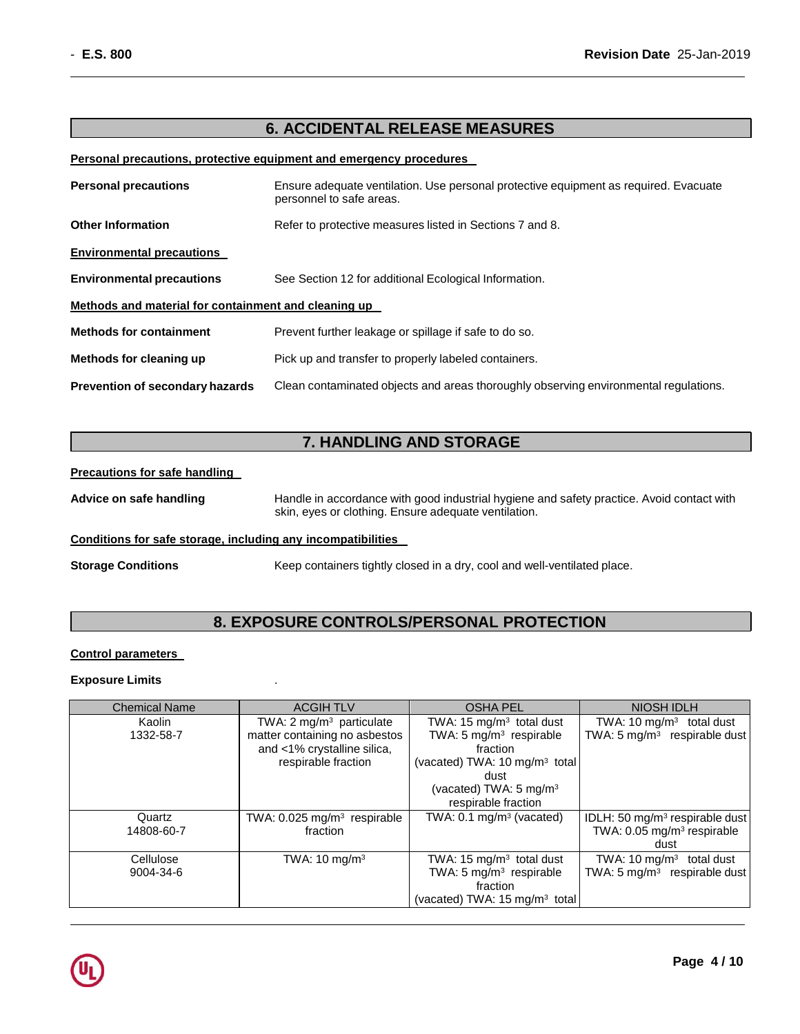## **6. ACCIDENTAL RELEASE MEASURES**

### **Personal precautions, protective equipment and emergency procedures**

| <b>Personal precautions</b>                          | Ensure adequate ventilation. Use personal protective equipment as required. Evacuate<br>personnel to safe areas. |  |
|------------------------------------------------------|------------------------------------------------------------------------------------------------------------------|--|
| <b>Other Information</b>                             | Refer to protective measures listed in Sections 7 and 8.                                                         |  |
| <b>Environmental precautions</b>                     |                                                                                                                  |  |
| <b>Environmental precautions</b>                     | See Section 12 for additional Ecological Information.                                                            |  |
| Methods and material for containment and cleaning up |                                                                                                                  |  |
| <b>Methods for containment</b>                       | Prevent further leakage or spillage if safe to do so.                                                            |  |
| Methods for cleaning up                              | Pick up and transfer to properly labeled containers.                                                             |  |
| <b>Prevention of secondary hazards</b>               | Clean contaminated objects and areas thoroughly observing environmental regulations.                             |  |

## **7. HANDLING AND STORAGE**

### **Precautions for safe handling**

**Advice on safe handling** Handle in accordance with good industrial hygiene and safety practice. Avoid contact with skin, eyes or clothing. Ensure adequate ventilation.

### **Conditions for safe storage, including any incompatibilities**

**Storage Conditions** Keep containers tightly closed in a dry, cool and well-ventilated place.

## **8. EXPOSURE CONTROLS/PERSONAL PROTECTION**

### **Control parameters**

### **Exposure Limits** .

| <b>Chemical Name</b> | <b>ACGIHTLV</b>                           | <b>OSHA PEL</b>                           | <b>NIOSH IDLH</b>                          |
|----------------------|-------------------------------------------|-------------------------------------------|--------------------------------------------|
| Kaolin               | TWA: $2 \text{ mg/m}^3$ particulate       | TWA: 15 $mg/m3$ total dust                | TWA: $10 \text{ mg/m}^3$<br>total dust     |
| 1332-58-7            | matter containing no asbestos             | TWA: 5 $mg/m3$ respirable                 | TWA: 5 mg/m <sup>3</sup> respirable dust   |
|                      | and <1% crystalline silica,               | fraction                                  |                                            |
|                      | respirable fraction                       | (vacated) TWA: 10 mg/m <sup>3</sup> total |                                            |
|                      |                                           | dust                                      |                                            |
|                      |                                           | (vacated) TWA: $5 \text{ mg/m}^3$         |                                            |
|                      |                                           | respirable fraction                       |                                            |
| Quartz               | TWA: $0.025$ mg/m <sup>3</sup> respirable | TWA: $0.1 \text{ mg/m}^3$ (vacated)       | IDLH: 50 mg/m <sup>3</sup> respirable dust |
| 14808-60-7           | fraction                                  |                                           | TWA: 0.05 mg/m <sup>3</sup> respirable     |
|                      |                                           |                                           | dust                                       |
| Cellulose            | TWA: $10 \text{ mg/m}^3$                  | TWA: 15 mg/m <sup>3</sup> total dust      | TWA: 10 $mq/m3$ total dust                 |
| 9004-34-6            |                                           | TWA: 5 $mg/m3$ respirable                 | TWA: 5 mg/m <sup>3</sup> respirable dust   |
|                      |                                           | fraction                                  |                                            |
|                      |                                           | (vacated) TWA: 15 mg/m <sup>3</sup> total |                                            |

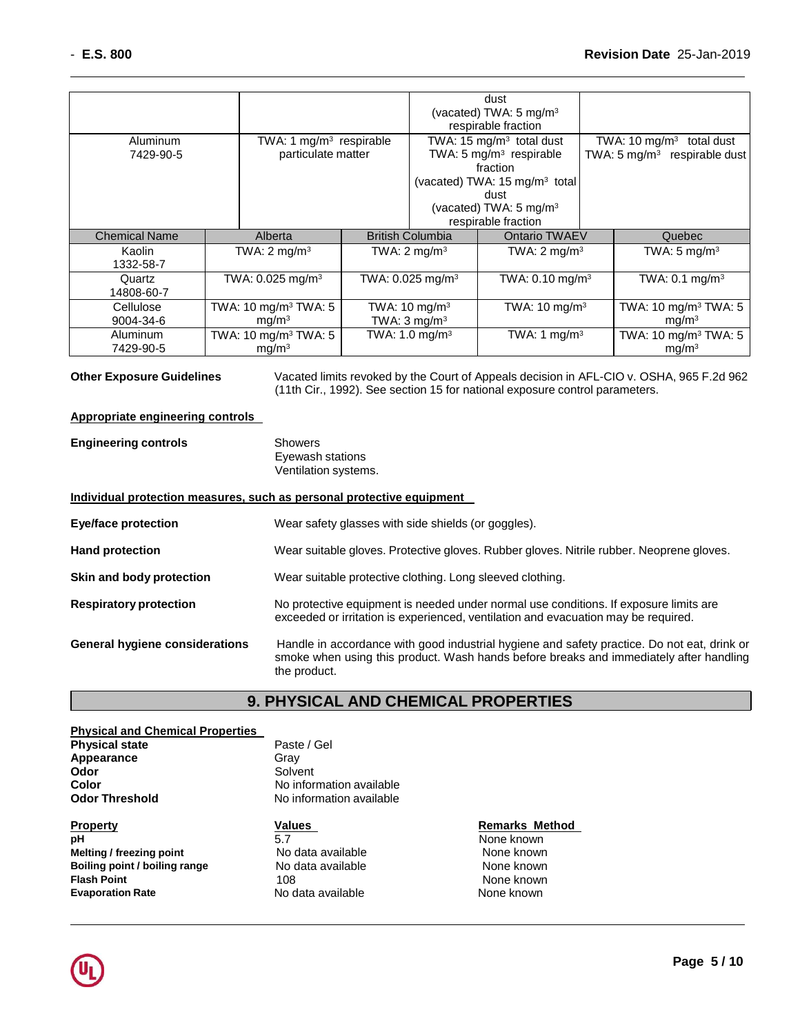|                                       |                                  |                                | dust<br>(vacated) TWA: 5 mg/m <sup>3</sup><br>respirable fraction |                                        |
|---------------------------------------|----------------------------------|--------------------------------|-------------------------------------------------------------------|----------------------------------------|
| TWA: 1 $mg/m3$ respirable<br>Aluminum |                                  |                                | TWA: 15 mg/m <sup>3</sup> total dust                              | TWA: $10 \text{ mg/m}^3$<br>total dust |
| 7429-90-5                             | particulate matter               |                                | TWA: 5 mg/m <sup>3</sup> respirable                               | TWA: 5 $mg/m3$ respirable dust         |
|                                       |                                  |                                | fraction                                                          |                                        |
|                                       |                                  |                                | (vacated) TWA: 15 mg/m <sup>3</sup> total                         |                                        |
|                                       |                                  |                                | dust                                                              |                                        |
|                                       |                                  |                                | (vacated) TWA: 5 mg/m <sup>3</sup>                                |                                        |
|                                       |                                  |                                | respirable fraction                                               |                                        |
| <b>Chemical Name</b>                  | Alberta                          | <b>British Columbia</b>        | Ontario TWAEV                                                     | Quebec                                 |
| Kaolin                                | TWA: $2 \text{ mg/m}^3$          | TWA: $2 \text{ mg/m}^3$        | TWA: $2 \text{ mg/m}^3$                                           | TWA: $5 \text{ mg/m}^3$                |
| 1332-58-7                             |                                  |                                |                                                                   |                                        |
| Quartz                                | TWA: $0.025$ mg/m <sup>3</sup>   | TWA: $0.025$ mg/m <sup>3</sup> | TWA: $0.10$ mg/m <sup>3</sup>                                     | TWA: $0.1 \text{ mg/m}^3$              |
| 14808-60-7                            |                                  |                                |                                                                   |                                        |
| Cellulose                             | TWA: 10 mg/m <sup>3</sup> TWA: 5 | TWA: $10 \text{ mg/m}^3$       | TWA: $10 \text{ mg/m}^3$                                          | TWA: 10 mg/m <sup>3</sup> TWA: 5       |
| 9004-34-6                             | mg/m <sup>3</sup>                | TWA: $3 \text{ mg/m}^3$        |                                                                   | mg/m <sup>3</sup>                      |
| Aluminum                              | TWA: 10 mg/m <sup>3</sup> TWA: 5 | TWA: 1.0 mg/m <sup>3</sup>     | TWA: 1 $mg/m3$                                                    | TWA: 10 mg/m <sup>3</sup> TWA: 5       |
| 7429-90-5                             | mg/m <sup>3</sup>                |                                |                                                                   | mg/m <sup>3</sup>                      |

**Other Exposure Guidelines** Vacated limits revoked by the Court of Appeals decision in AFL-CIO v. OSHA, 965 F.2d 962 (11th Cir., 1992). See section 15 for national exposure control parameters.

### **Appropriate engineering controls**

| <b>Engineering controls</b> | Showers              |
|-----------------------------|----------------------|
|                             | Eyewash stations     |
|                             | Ventilation systems. |

### **Individual protection measures, such as personal protective equipment**

| <b>Eye/face protection</b>            | Wear safety glasses with side shields (or goggles).                                                                                                                                                   |
|---------------------------------------|-------------------------------------------------------------------------------------------------------------------------------------------------------------------------------------------------------|
| <b>Hand protection</b>                | Wear suitable gloves. Protective gloves. Rubber gloves. Nitrile rubber. Neoprene gloves.                                                                                                              |
| Skin and body protection              | Wear suitable protective clothing. Long sleeved clothing.                                                                                                                                             |
| <b>Respiratory protection</b>         | No protective equipment is needed under normal use conditions. If exposure limits are<br>exceeded or irritation is experienced, ventilation and evacuation may be required.                           |
| <b>General hygiene considerations</b> | Handle in accordance with good industrial hygiene and safety practice. Do not eat, drink or<br>smoke when using this product. Wash hands before breaks and immediately after handling<br>the product. |

## **9. PHYSICAL AND CHEMICAL PROPERTIES**

| <b>Physical and Chemical Properties</b> |                          |                       |
|-----------------------------------------|--------------------------|-----------------------|
| <b>Physical state</b>                   | Paste / Gel              |                       |
| Appearance                              | Gray                     |                       |
| Odor                                    | Solvent                  |                       |
| <b>Color</b>                            | No information available |                       |
| <b>Odor Threshold</b>                   | No information available |                       |
|                                         |                          |                       |
| <b>Property</b>                         | <b>Values</b>            | <b>Remarks Method</b> |
| рH                                      | 5.7                      | None known            |
| Melting / freezing point                | No data available        | None known            |
| Boiling point / boiling range           | No data available        | None known            |
| <b>Flash Point</b>                      | 108                      | None known            |

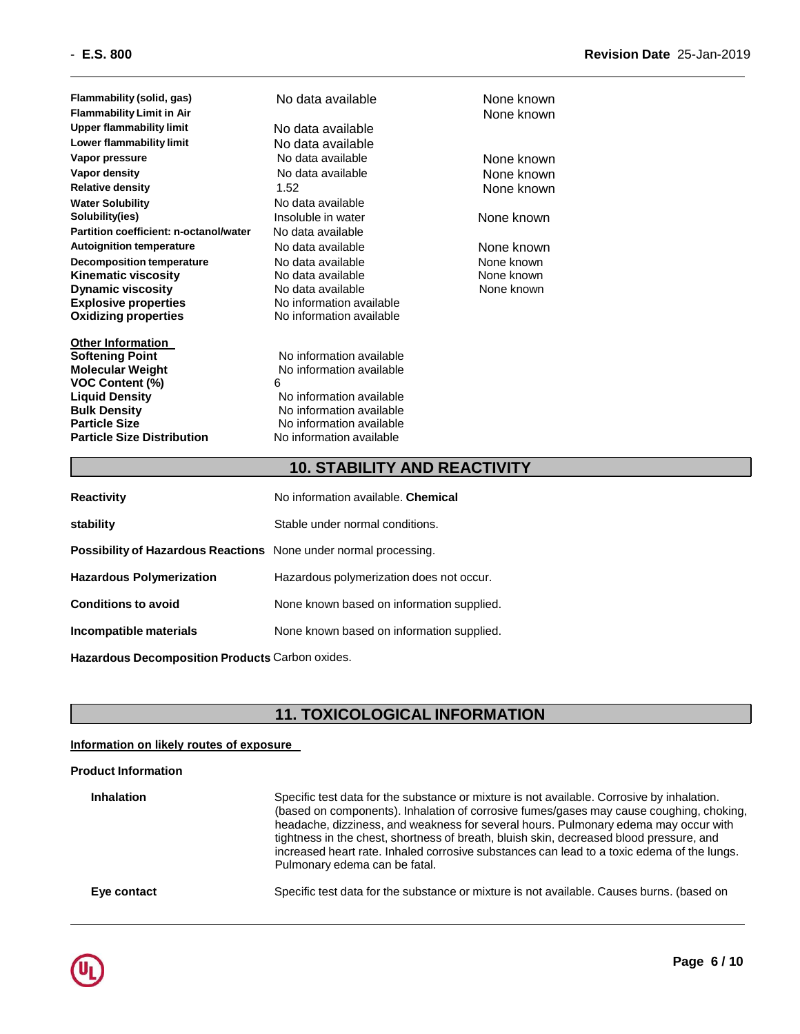**Flammability** (solid, gas) **No data available None known Flammability Limit in Air** None known Lower flammability limit **No data available Vapor pressure** No data available None known **Vapor density** No data available None known **Relative density** 1.52 None known **Water Solubility No data available Solubility(ies) Insoluble in water None known Partition coefficient: n-octanol/water** No data available **Autoignition temperature** No data available None known **Decomposition temperature** No data available None known **Kinematic viscosity No data available Manual School Area Mone known Dynamic viscosity** No data available **Explosive properties** No information available **Oxidizing properties** No information available

**Other Information VOC Content (%)** 6 **Liquid Density No information available Bulk Density No information available Particle Size No information available Particle Size Distribution No information available** 

**No data available Softening Point No information available Molecular Weight**  No information available

None known

## **10. STABILITY AND REACTIVITY**

| <b>Reactivity</b>                                                       | No information available. Chemical        |
|-------------------------------------------------------------------------|-------------------------------------------|
| stability                                                               | Stable under normal conditions.           |
| <b>Possibility of Hazardous Reactions</b> None under normal processing. |                                           |
| <b>Hazardous Polymerization</b>                                         | Hazardous polymerization does not occur.  |
| <b>Conditions to avoid</b>                                              | None known based on information supplied. |
| Incompatible materials                                                  | None known based on information supplied. |
|                                                                         |                                           |

**Hazardous Decomposition Products** Carbon oxides.

## **11. TOXICOLOGICAL INFORMATION**

### **Information on likely routes of exposure**

### **Product Information**

**Inhalation** Specific test data for the substance or mixture is not available. Corrosive by inhalation. (based on components). Inhalation of corrosive fumes/gases may cause coughing, choking, headache, dizziness, and weakness for several hours. Pulmonary edema may occur with tightness in the chest, shortness of breath, bluish skin, decreased blood pressure, and increased heart rate. Inhaled corrosive substances can lead to a toxic edema of the lungs. Pulmonary edema can be fatal. **Eye contact** Specific test data for the substance or mixture is not available. Causes burns. (based on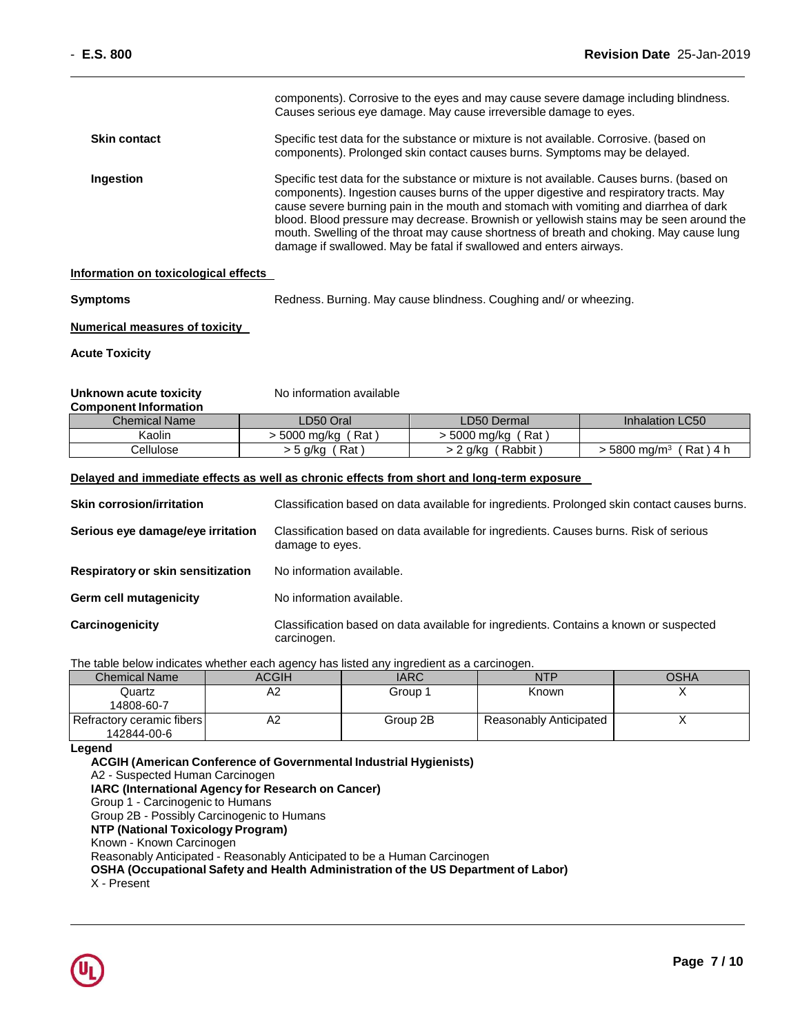|                     | components). Corrosive to the eyes and may cause severe damage including blindness.<br>Causes serious eye damage. May cause irreversible damage to eyes.                                                                                                                                                                                                                                                                                                                                                                                 |
|---------------------|------------------------------------------------------------------------------------------------------------------------------------------------------------------------------------------------------------------------------------------------------------------------------------------------------------------------------------------------------------------------------------------------------------------------------------------------------------------------------------------------------------------------------------------|
| <b>Skin contact</b> | Specific test data for the substance or mixture is not available. Corrosive. (based on<br>components). Prolonged skin contact causes burns. Symptoms may be delayed.                                                                                                                                                                                                                                                                                                                                                                     |
| <b>Ingestion</b>    | Specific test data for the substance or mixture is not available. Causes burns. (based on<br>components). Ingestion causes burns of the upper digestive and respiratory tracts. May<br>cause severe burning pain in the mouth and stomach with vomiting and diarrhea of dark<br>blood. Blood pressure may decrease. Brownish or yellowish stains may be seen around the<br>mouth. Swelling of the throat may cause shortness of breath and choking. May cause lung<br>damage if swallowed. May be fatal if swallowed and enters airways. |

### **Information on toxicological effects**

**Symptoms** Redness. Burning. May cause blindness. Coughing and/ or wheezing.

**Numerical measures of toxicity** 

**Acute Toxicity**

### **Unknown acute toxicity** No information available **Component Information**

| <u>UUINUITEIN IIIUI IIIIIUI I</u> |                     |                             |                                     |
|-----------------------------------|---------------------|-----------------------------|-------------------------------------|
| <b>Chemical Name</b>              | ∟D50 Oral           | LD50 Dermal                 | Inhalation LC50                     |
| Kaolin                            | Rat<br>· 5000 ma/ka | ั Rat i<br>∙ 5000 ma/ka     |                                     |
| こellulose                         | Rat<br>> 5 g/kg     | , Rabbit Rabbit<br>> 2 g/kg | 5800 mg/m <sup>3</sup><br>Rat ) 4 h |

### **Delayed and immediate effects as well as chronic effects from short and long-term exposure**

| <b>Skin corrosion/irritation</b>         | Classification based on data available for ingredients. Prolonged skin contact causes burns.             |
|------------------------------------------|----------------------------------------------------------------------------------------------------------|
| Serious eye damage/eye irritation        | Classification based on data available for ingredients. Causes burns. Risk of serious<br>damage to eyes. |
| <b>Respiratory or skin sensitization</b> | No information available.                                                                                |
| <b>Germ cell mutagenicity</b>            | No information available.                                                                                |
| Carcinogenicity                          | Classification based on data available for ingredients. Contains a known or suspected<br>carcinogen.     |

The table below indicates whether each agency has listed any ingredient as a carcinogen.

| <b>Chemical Name</b>      | ACGIH | <b>IARC</b> | NTP                    | OSHA |
|---------------------------|-------|-------------|------------------------|------|
| Quartz                    | Α2    | Group 1     | Known                  |      |
| 14808-60-7                |       |             |                        |      |
| Refractory ceramic fibers | A2    | Group 2B    | Reasonably Anticipated |      |
| 142844-00-6               |       |             |                        |      |

### **Legend**

**ACGIH (American Conference of Governmental Industrial Hygienists)** A2 - Suspected Human Carcinogen **IARC (International Agency for Research on Cancer)** Group 1 - Carcinogenic to Humans Group 2B - Possibly Carcinogenic to Humans **NTP (National Toxicology Program)** Known - Known Carcinogen Reasonably Anticipated - Reasonably Anticipated to be a Human Carcinogen **OSHA (Occupational Safety and Health Administration of the US Department of Labor)** X - Present

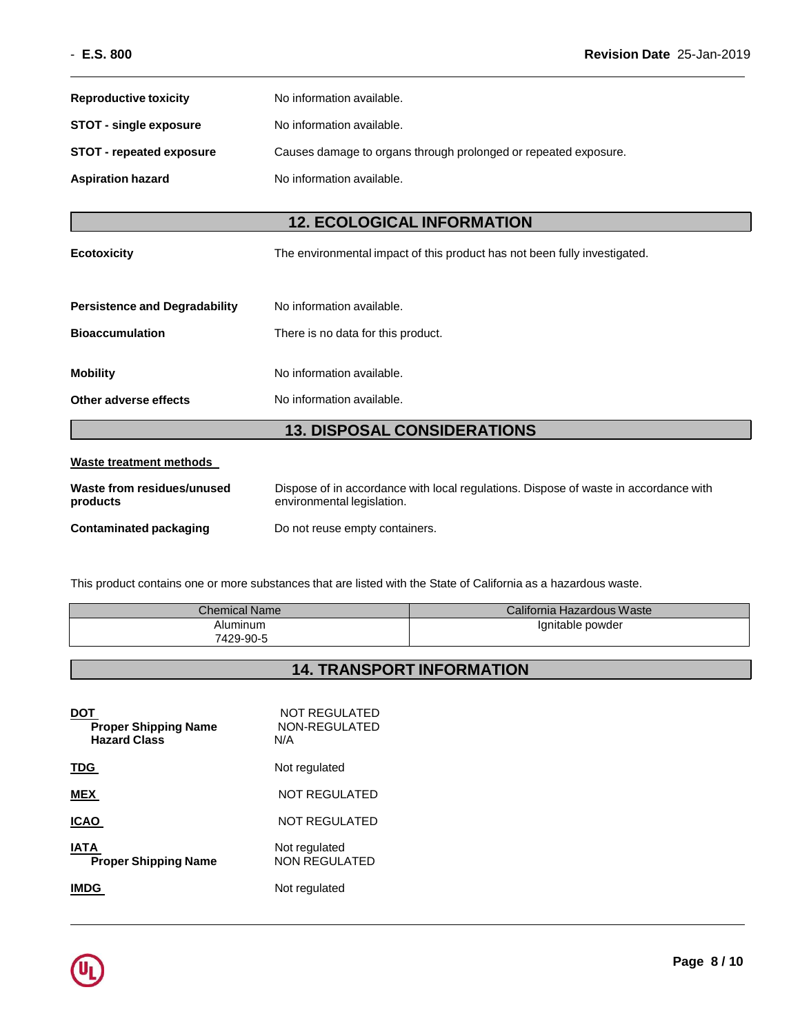| <b>Reproductive toxicity</b>           | No information available.                                                                                          |  |
|----------------------------------------|--------------------------------------------------------------------------------------------------------------------|--|
| <b>STOT - single exposure</b>          | No information available.                                                                                          |  |
| <b>STOT - repeated exposure</b>        | Causes damage to organs through prolonged or repeated exposure.                                                    |  |
| <b>Aspiration hazard</b>               | No information available.                                                                                          |  |
|                                        |                                                                                                                    |  |
|                                        | <b>12. ECOLOGICAL INFORMATION</b>                                                                                  |  |
| <b>Ecotoxicity</b>                     | The environmental impact of this product has not been fully investigated.                                          |  |
|                                        |                                                                                                                    |  |
| <b>Persistence and Degradability</b>   | No information available.                                                                                          |  |
| <b>Bioaccumulation</b>                 | There is no data for this product.                                                                                 |  |
| <b>Mobility</b>                        | No information available.                                                                                          |  |
| Other adverse effects                  | No information available.                                                                                          |  |
| <b>13. DISPOSAL CONSIDERATIONS</b>     |                                                                                                                    |  |
| <b>Waste treatment methods</b>         |                                                                                                                    |  |
| Waste from residues/unused<br>products | Dispose of in accordance with local regulations. Dispose of waste in accordance with<br>environmental legislation. |  |
| <b>Contaminated packaging</b>          | Do not reuse empty containers.                                                                                     |  |

This product contains one or more substances that are listed with the State of California as a hazardous waste.

| <b>Chemical Name</b> | California Hazardous Waste |
|----------------------|----------------------------|
| Aluminum             | lanitable powder           |
| 7429-90-5            |                            |

## **14. TRANSPORT INFORMATION**

| <b>Proper Shipping Name</b><br><b>Hazard Class</b> | NOT REGULATED<br>NON-REGULATED<br>N/A |
|----------------------------------------------------|---------------------------------------|
| TDG.                                               | Not regulated                         |
| <b>MEX</b>                                         | <b>NOT REGULATED</b>                  |
| ICAO                                               | NOT REGULATED                         |
| IATA<br><b>Proper Shipping Name</b>                | Not regulated<br><b>NON REGULATED</b> |
|                                                    | Not regulated                         |

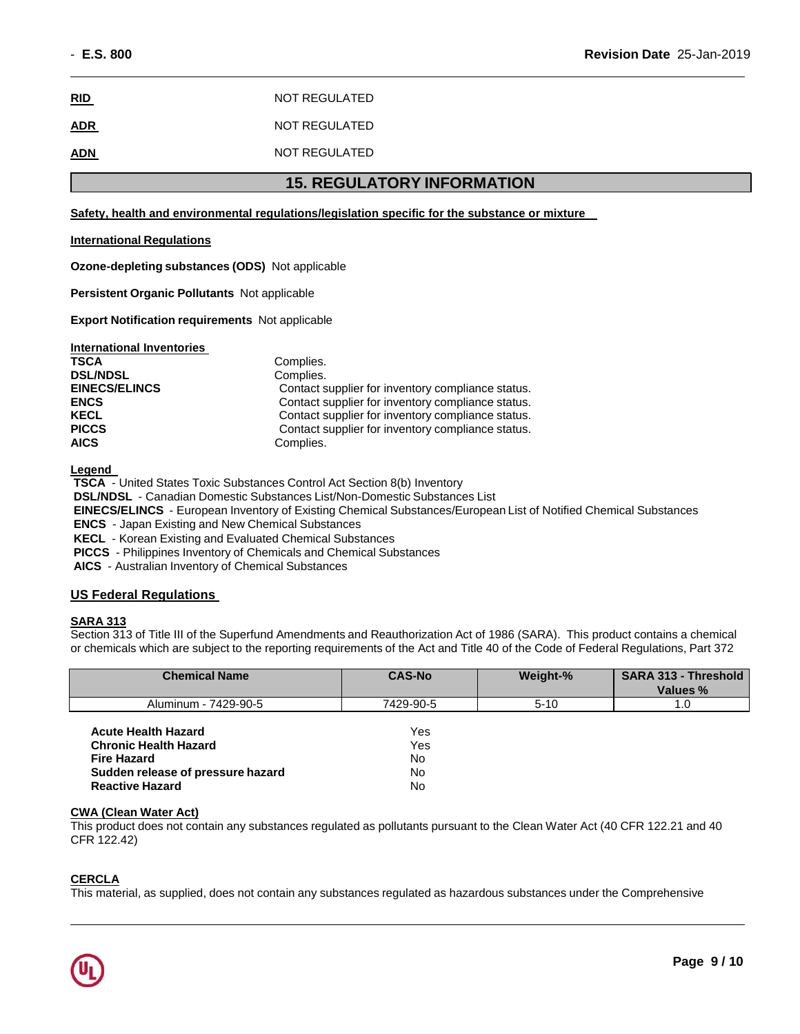| <b>RID</b> | NOT REGULATED |
|------------|---------------|
| <b>ADR</b> | NOT REGULATED |
| <b>ADN</b> | NOT REGULATED |

## **15. REGULATORY INFORMATION**

**Safety, health and environmental regulations/legislation specific for the substance or mixture** 

### **International Regulations**

**Ozone-depleting substances (ODS)** Not applicable

**Persistent Organic Pollutants** Not applicable

**Export Notification requirements** Not applicable

| <b>International Inventories</b> |                                                   |
|----------------------------------|---------------------------------------------------|
| <b>TSCA</b>                      | Complies.                                         |
| <b>DSL/NDSL</b>                  | Complies.                                         |
| <b>EINECS/ELINCS</b>             | Contact supplier for inventory compliance status. |
| <b>ENCS</b>                      | Contact supplier for inventory compliance status. |
| <b>KECL</b>                      | Contact supplier for inventory compliance status. |
| <b>PICCS</b>                     | Contact supplier for inventory compliance status. |
| <b>AICS</b>                      | Complies.                                         |

**Legend** 

**TSCA** - United States Toxic Substances Control Act Section 8(b) Inventory

**DSL/NDSL** - Canadian Domestic Substances List/Non-Domestic Substances List

**EINECS/ELINCS** - European Inventory of Existing Chemical Substances/European List of Notified Chemical Substances

**ENCS** - Japan Existing and New Chemical Substances

**KECL** - Korean Existing and Evaluated Chemical Substances

**PICCS** - Philippines Inventory of Chemicals and Chemical Substances

**AICS** - Australian Inventory of Chemical Substances

### **US Federal Regulations**

### **SARA 313**

Section 313 of Title III of the Superfund Amendments and Reauthorization Act of 1986 (SARA). This product contains a chemical or chemicals which are subject to the reporting requirements of the Act and Title 40 of the Code of Federal Regulations, Part 372

| <b>Chemical Name</b>                                                                                                                            | <b>CAS-No</b>                | Weight-% | <b>SARA 313 - Threshold</b><br>Values % |
|-------------------------------------------------------------------------------------------------------------------------------------------------|------------------------------|----------|-----------------------------------------|
| Aluminum - 7429-90-5                                                                                                                            | 7429-90-5                    | $5 - 10$ | 1.0                                     |
| <b>Acute Health Hazard</b><br><b>Chronic Health Hazard</b><br><b>Fire Hazard</b><br>Sudden release of pressure hazard<br><b>Reactive Hazard</b> | Yes<br>Yes<br>No<br>No<br>No |          |                                         |

### **CWA (Clean Water Act)**

This product does not contain any substances regulated as pollutants pursuant to the Clean Water Act (40 CFR 122.21 and 40 CFR 122.42)

### **CERCLA**

This material, as supplied, does not contain any substances regulated as hazardous substances under the Comprehensive